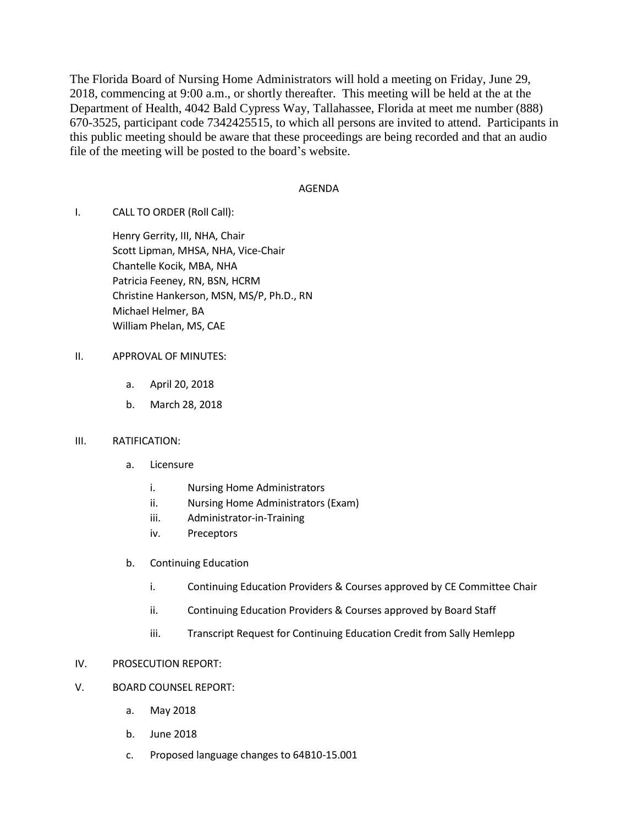The Florida Board of Nursing Home Administrators will hold a meeting on Friday, June 29, 2018, commencing at 9:00 a.m., or shortly thereafter. This meeting will be held at the at the Department of Health, 4042 Bald Cypress Way, Tallahassee, Florida at meet me number (888) 670-3525, participant code 7342425515, to which all persons are invited to attend. Participants in this public meeting should be aware that these proceedings are being recorded and that an audio file of the meeting will be posted to the board's website.

## AGENDA

I. CALL TO ORDER (Roll Call):

Henry Gerrity, III, NHA, Chair Scott Lipman, MHSA, NHA, Vice-Chair Chantelle Kocik, MBA, NHA Patricia Feeney, RN, BSN, HCRM Christine Hankerson, MSN, MS/P, Ph.D., RN Michael Helmer, BA William Phelan, MS, CAE

## II. APPROVAL OF MINUTES:

- a. April 20, 2018
- b. March 28, 2018

## III. RATIFICATION:

- a. Licensure
	- i. Nursing Home Administrators
	- ii. Nursing Home Administrators (Exam)
	- iii. Administrator-in-Training
	- iv. Preceptors
- b. Continuing Education
	- i. Continuing Education Providers & Courses approved by CE Committee Chair
	- ii. Continuing Education Providers & Courses approved by Board Staff
	- iii. Transcript Request for Continuing Education Credit from Sally Hemlepp

## IV. PROSECUTION REPORT:

- V. BOARD COUNSEL REPORT:
	- a. May 2018
	- b. June 2018
	- c. Proposed language changes to 64B10-15.001